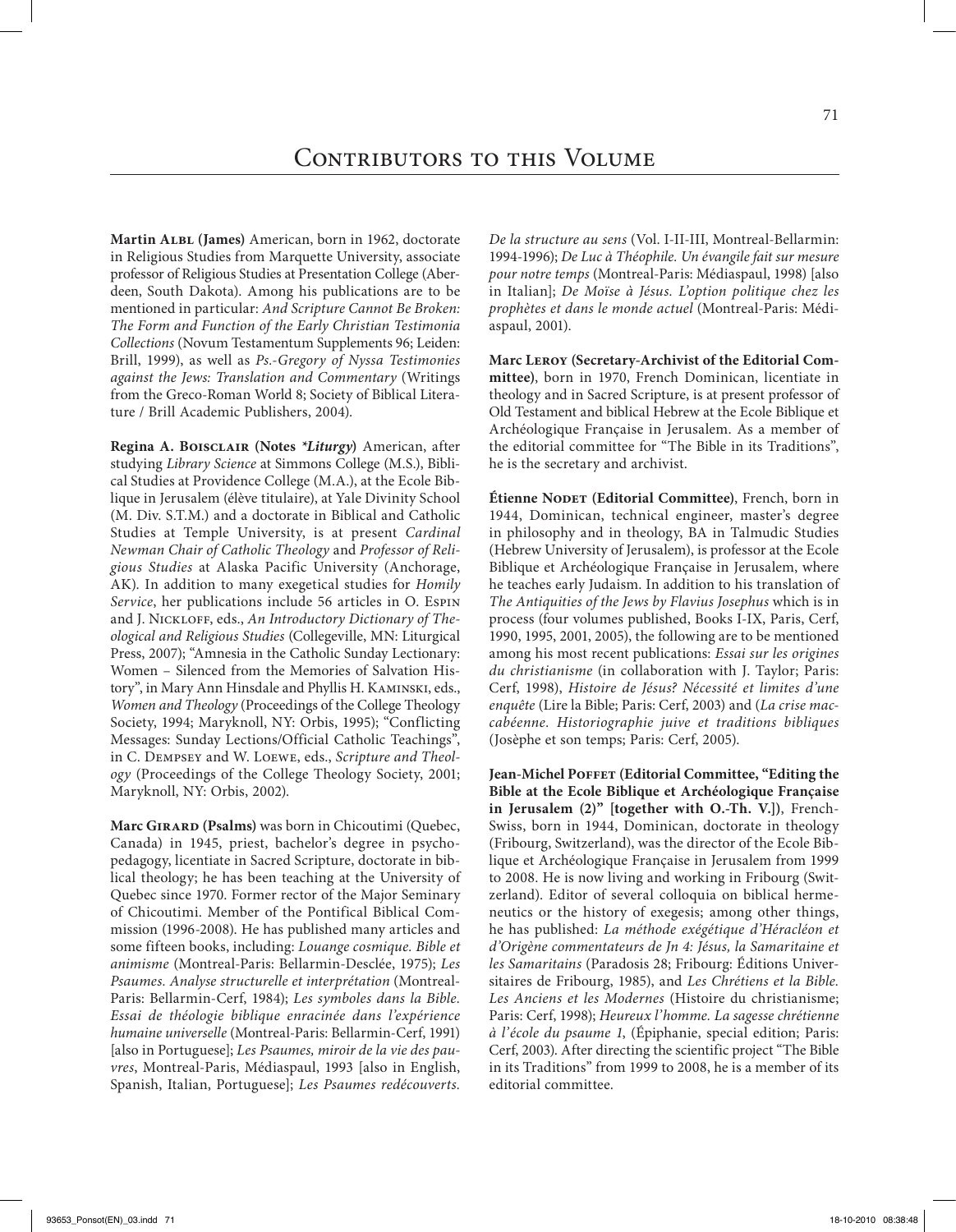**Martin Albl (James)** American, born in 1962, doctorate in Religious Studies from Marquette University, associate professor of Religious Studies at Presentation College (Aberdeen, South Dakota). Among his publications are to be mentioned in particular: *And Scripture Cannot Be Broken: The Form and Function of the Early Christian Testimonia Collections* (Novum Testamentum Supplements 96; Leiden: Brill, 1999), as well as *Ps.-Gregory of Nyssa Testimonies against the Jews: Translation and Commentary* (Writings from the Greco-Roman World 8; Society of Biblical Literature / Brill Academic Publishers, 2004).

**Regina A. Boisclair (Notes** *\*Liturgy***)** American, after studying *Library Science* at Simmons College (M.S.), Biblical Studies at Providence College (M.A.), at the Ecole Biblique in Jerusalem (élève titulaire), at Yale Divinity School (M. Div. S.T.M.) and a doctorate in Biblical and Catholic Studies at Temple University, is at present *Cardinal Newman Chair of Catholic Theology* and *Professor of Religious Studies* at Alaska Pacific University (Anchorage, AK). In addition to many exegetical studies for *Homily Service*, her publications include 56 articles in O. Espin and J. NICKLOFF, eds., An Introductory Dictionary of The*ological and Religious Studies* (Collegeville, MN: Liturgical Press, 2007); "Amnesia in the Catholic Sunday Lectionary: Women – Silenced from the Memories of Salvation History", in Mary Ann Hinsdale and Phyllis H. Kaminski, eds., *Women and Theology* (Proceedings of the College Theology Society, 1994; Maryknoll, NY: Orbis, 1995); "Conflicting Messages: Sunday Lections/Official Catholic Teachings", in C. Dempsey and W. Loewe, eds., *Scripture and Theology* (Proceedings of the College Theology Society, 2001; Maryknoll, NY: Orbis, 2002).

**Marc Girard (Psalms)** was born in Chicoutimi (Quebec, Canada) in 1945, priest, bachelor's degree in psychopedagogy, licentiate in Sacred Scripture, doctorate in biblical theology; he has been teaching at the University of Quebec since 1970. Former rector of the Major Seminary of Chicoutimi. Member of the Pontifical Biblical Commission (1996-2008). He has published many articles and some fifteen books, including: *Louange cosmique. Bible et animisme* (Montreal-Paris: Bellarmin-Desclée, 1975); *Les Psaumes. Analyse structurelle et interprétation* (Montreal-Paris: Bellarmin-Cerf, 1984); *Les symboles dans la Bible. Essai de théologie biblique enracinée dans l'expérience humaine universelle* (Montreal-Paris: Bellarmin-Cerf, 1991) [also in Portuguese]; *Les Psaumes, miroir de la vie des pauvres*, Montreal-Paris, Médiaspaul, 1993 [also in English, Spanish, Italian, Portuguese]; *Les Psaumes redécouverts.* 

*De la structure au sens* (Vol. I-II-III, Montreal-Bellarmin: 1994-1996); *De Luc à Théophile. Un évangile fait sur mesure pour notre temps* (Montreal-Paris: Médiaspaul, 1998) [also in Italian]; *De Moïse à Jésus. L'option politique chez les prophètes et dans le monde actuel* (Montreal-Paris: Médiaspaul, 2001).

**Marc Leroy (Secretary-Archivist of the Editorial Committee)**, born in 1970, French Dominican, licentiate in theology and in Sacred Scripture, is at present professor of Old Testament and biblical Hebrew at the Ecole Biblique et Archéologique Française in Jerusalem. As a member of the editorial committee for "The Bible in its Traditions", he is the secretary and archivist.

**Étienne Nodet (Editorial Committee)**, French, born in 1944, Dominican, technical engineer, master's degree in philosophy and in theology, BA in Talmudic Studies (Hebrew University of Jerusalem), is professor at the Ecole Biblique et Archéologique Française in Jerusalem, where he teaches early Judaism. In addition to his translation of *The Antiquities of the Jews by Flavius Josephus* which is in process (four volumes published, Books I-IX, Paris, Cerf, 1990, 1995, 2001, 2005), the following are to be mentioned among his most recent publications: *Essai sur les origines du christianisme* (in collaboration with J. Taylor; Paris: Cerf, 1998), *Histoire de Jésus? Nécessité et limites d'une enquête* (Lire la Bible; Paris: Cerf, 2003) and (*La crise maccabéenne. Historiographie juive et traditions bibliques* (Josèphe et son temps; Paris: Cerf, 2005).

Jean-Michel POFFET (Editorial Committee, "Editing the **Bible at the Ecole Biblique et Archéologique Française in Jerusalem (2)" [together with O.-Th. V.])**, French-Swiss, born in 1944, Dominican, doctorate in theology (Fribourg, Switzerland), was the director of the Ecole Biblique et Archéologique Française in Jerusalem from 1999 to 2008. He is now living and working in Fribourg (Switzerland). Editor of several colloquia on biblical hermeneutics or the history of exegesis; among other things, he has published: *La méthode exégétique d'Héracléon et d'Origène commentateurs de Jn 4: Jésus, la Samaritaine et les Samaritains* (Paradosis 28; Fribourg: Éditions Universitaires de Fribourg, 1985), and *Les Chrétiens et la Bible. Les Anciens et les Modernes* (Histoire du christianisme; Paris: Cerf, 1998); *Heureux l'homme. La sagesse chrétienne à l'école du psaume 1*, (Épiphanie, special edition; Paris: Cerf, 2003). After directing the scientific project "The Bible in its Traditions" from 1999 to 2008, he is a member of its editorial committee.